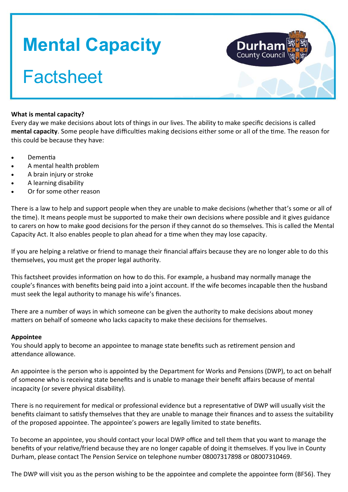# **Mental Capacity**

# **Factsheet**



# **What is mental capacity?**

Every day we make decisions about lots of things in our lives. The ability to make specific decisions is called **mental capacity**. Some people have difficulties making decisions either some or all of the time. The reason for this could be because they have:

- Dementia
- A mental health problem
- A brain injury or stroke
- A learning disability
- Or for some other reason

There is a law to help and support people when they are unable to make decisions (whether that's some or all of the time). It means people must be supported to make their own decisions where possible and it gives guidance to carers on how to make good decisions for the person if they cannot do so themselves. This is called the Mental Capacity Act. It also enables people to plan ahead for a time when they may lose capacity.

If you are helping a relative or friend to manage their financial affairs because they are no longer able to do this themselves, you must get the proper legal authority.

This factsheet provides information on how to do this. For example, a husband may normally manage the couple's finances with benefits being paid into a joint account. If the wife becomes incapable then the husband must seek the legal authority to manage his wife's finances.

There are a number of ways in which someone can be given the authority to make decisions about money matters on behalf of someone who lacks capacity to make these decisions for themselves.

## **Appointee**

You should apply to become an appointee to manage state benefits such as retirement pension and attendance allowance.

An appointee is the person who is appointed by the Department for Works and Pensions (DWP), to act on behalf of someone who is receiving state benefits and is unable to manage their benefit affairs because of mental incapacity (or severe physical disability).

There is no requirement for medical or professional evidence but a representative of DWP will usually visit the benefits claimant to satisfy themselves that they are unable to manage their finances and to assess the suitability of the proposed appointee. The appointee's powers are legally limited to state benefits.

To become an appointee, you should contact your local DWP office and tell them that you want to manage the benefits of your relative/friend because they are no longer capable of doing it themselves. If you live in County Durham, please contact The Pension Service on telephone number 08007317898 or 08007310469.

The DWP will visit you as the person wishing to be the appointee and complete the appointee form (BF56). They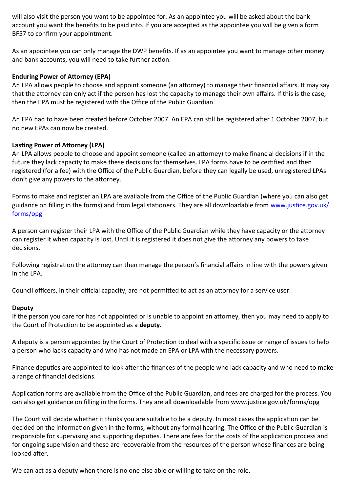will also visit the person you want to be appointee for. As an appointee you will be asked about the bank account you want the benefits to be paid into. If you are accepted as the appointee you will be given a form BF57 to confirm your appointment.

As an appointee you can only manage the DWP benefits. If as an appointee you want to manage other money and bank accounts, you will need to take further action.

### **Enduring Power of Attorney (EPA)**

An EPA allows people to choose and appoint someone (an attorney) to manage their financial affairs. It may say that the attorney can only act if the person has lost the capacity to manage their own affairs. If this is the case, then the EPA must be registered with the Office of the Public Guardian.

An EPA had to have been created before October 2007. An EPA can still be registered after 1 October 2007, but no new EPAs can now be created.

#### **Lasting Power of Attorney (LPA)**

An LPA allows people to choose and appoint someone (called an attorney) to make financial decisions if in the future they lack capacity to make these decisions for themselves. LPA forms have to be certified and then registered (for a fee) with the Office of the Public Guardian, before they can legally be used, unregistered LPAs don't give any powers to the attorney.

Forms to make and register an LPA are available from the Office of the Public Guardian (where you can also get [guidance on filling in the forms\) and from legal stationers. They are all downloadable from www.justice.gov.uk/](http://www.justice.gov.uk/forms/opg) forms/opg

A person can register their LPA with the Office of the Public Guardian while they have capacity or the attorney can register it when capacity is lost. Until it is registered it does not give the attorney any powers to take decisions.

Following registration the attorney can then manage the person's financial affairs in line with the powers given in the LPA.

Council officers, in their official capacity, are not permitted to act as an attorney for a service user.

#### **Deputy**

If the person you care for has not appointed or is unable to appoint an attorney, then you may need to apply to the Court of Protection to be appointed as a **deputy**.

A deputy is a person appointed by the Court of Protection to deal with a specific issue or range of issues to help a person who lacks capacity and who has not made an EPA or LPA with the necessary powers.

Finance deputies are appointed to look after the finances of the people who lack capacity and who need to make a range of financial decisions.

Application forms are available from the Office of the Public Guardian, and fees are charged for the process. You can also get guidance on filling in the forms. They are all downloadable from [www.justice.gov.uk/forms/opg](http://www.justice.gov.uk/forms/opg)

The Court will decide whether it thinks you are suitable to be a deputy. In most cases the application can be decided on the information given in the forms, without any formal hearing. The Office of the Public Guardian is responsible for supervising and supporting deputies. There are fees for the costs of the application process and for ongoing supervision and these are recoverable from the resources of the person whose finances are being looked after.

We can act as a deputy when there is no one else able or willing to take on the role.